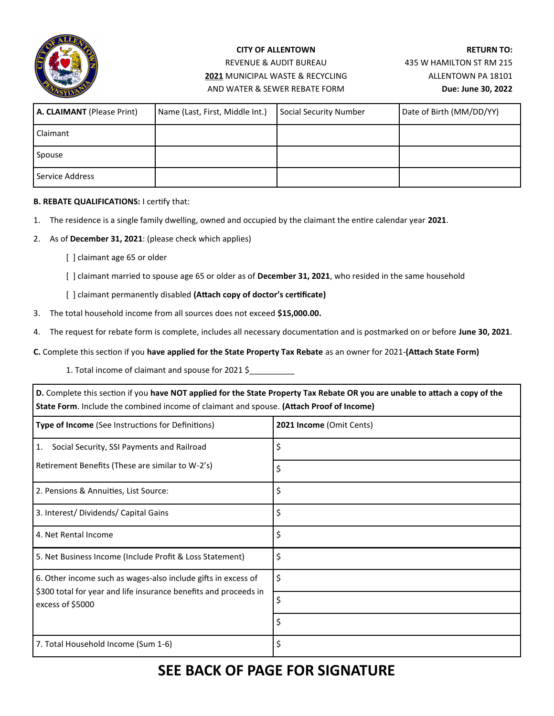

## **CITY OF ALLENTOWN** REVENUE & AUDIT BUREAU **2021** MUNICIPAL WASTE & RECYCLING AND WATER & SEWER REBATE FORM

**RETURN TO:** 435 W HAMILTON ST RM 215 ALLENTOWN PA 18101 **Due: June 30, 2022**

| A. CLAIMANT (Please Print) | Name (Last, First, Middle Int.) | Social Security Number | Date of Birth (MM/DD/YY) |
|----------------------------|---------------------------------|------------------------|--------------------------|
| <b>Claimant</b>            |                                 |                        |                          |
| Spouse                     |                                 |                        |                          |
| Service Address            |                                 |                        |                          |

## **B. REBATE QUALIFICATIONS:** I certify that:

- 1. The residence is a single family dwelling, owned and occupied by the claimant the entire calendar year **2021**.
- 2. As of **December 31, 2021**: (please check which applies)
	- [ ] claimant age 65 or older
	- [ ] claimant married to spouse age 65 or older as of **December 31, 2021**, who resided in the same household
	- [ ] claimant permanently disabled **(Attach copy of doctor's certificate)**
- 3. The total household income from all sources does not exceed **\$15,000.00.**
- 4. The request for rebate form is complete, includes all necessary documentation and is postmarked on or before **June 30, 2021**.
- **C.** Complete this section if you **have applied for the State Property Tax Rebate** as an owner for 2021-**(Attach State Form)**
	- 1. Total income of claimant and spouse for 2021 \$\_\_\_\_\_\_\_\_\_\_

**D.** Complete this section if you **have NOT applied for the State Property Tax Rebate OR you are unable to attach a copy of the State Form**. Include the combined income of claimant and spouse. **(Attach Proof of Income)**

| Type of Income (See Instructions for Definitions)                                    | 2021 Income (Omit Cents) |
|--------------------------------------------------------------------------------------|--------------------------|
| Social Security, SSI Payments and Railroad<br>1.                                     | \$                       |
| Retirement Benefits (These are similar to W-2's)                                     | Ś                        |
| 2. Pensions & Annuities, List Source:                                                | \$                       |
| 3. Interest/Dividends/Capital Gains                                                  | Ś                        |
| 4. Net Rental Income                                                                 | Ś                        |
| 5. Net Business Income (Include Profit & Loss Statement)                             | \$                       |
| 6. Other income such as wages-also include gifts in excess of                        | \$                       |
| \$300 total for year and life insurance benefits and proceeds in<br>excess of \$5000 | Ś                        |
|                                                                                      | Ś                        |
| 7. Total Household Income (Sum 1-6)                                                  |                          |

## **SEE BACK OF PAGE FOR SIGNATURE**